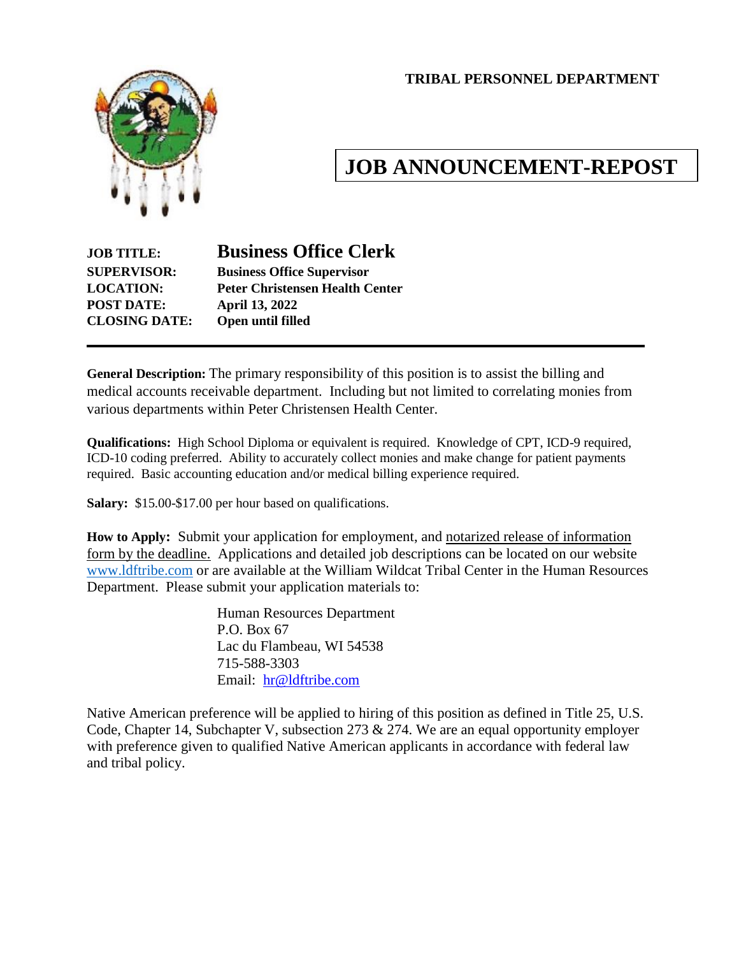**TRIBAL PERSONNEL DEPARTMENT**



# **JOB ANNOUNCEMENT-REPOST**

## **JOB TITLE: Business Office Clerk SUPERVISOR: Business Office Supervisor LOCATION: Peter Christensen Health Center POST DATE: April 13, 2022 CLOSING DATE: Open until filled**

**General Description:** The primary responsibility of this position is to assist the billing and medical accounts receivable department. Including but not limited to correlating monies from various departments within Peter Christensen Health Center.

**Qualifications:** High School Diploma or equivalent is required. Knowledge of CPT, ICD-9 required, ICD-10 coding preferred. Ability to accurately collect monies and make change for patient payments required. Basic accounting education and/or medical billing experience required.

**Salary:** \$15.00-\$17.00 per hour based on qualifications.

**How to Apply:** Submit your application for employment, and notarized release of information form by the deadline. Applications and detailed job descriptions can be located on our website [www.ldftribe.com](http://www.ldftribe.com/) or are available at the William Wildcat Tribal Center in the Human Resources Department. Please submit your application materials to:

> Human Resources Department P.O. Box 67 Lac du Flambeau, WI 54538 715-588-3303 Email: [hr@ldftribe.com](mailto:hr@ldftribe.com)

Native American preference will be applied to hiring of this position as defined in Title 25, U.S. Code, Chapter 14, Subchapter V, subsection 273 & 274. We are an equal opportunity employer with preference given to qualified Native American applicants in accordance with federal law and tribal policy.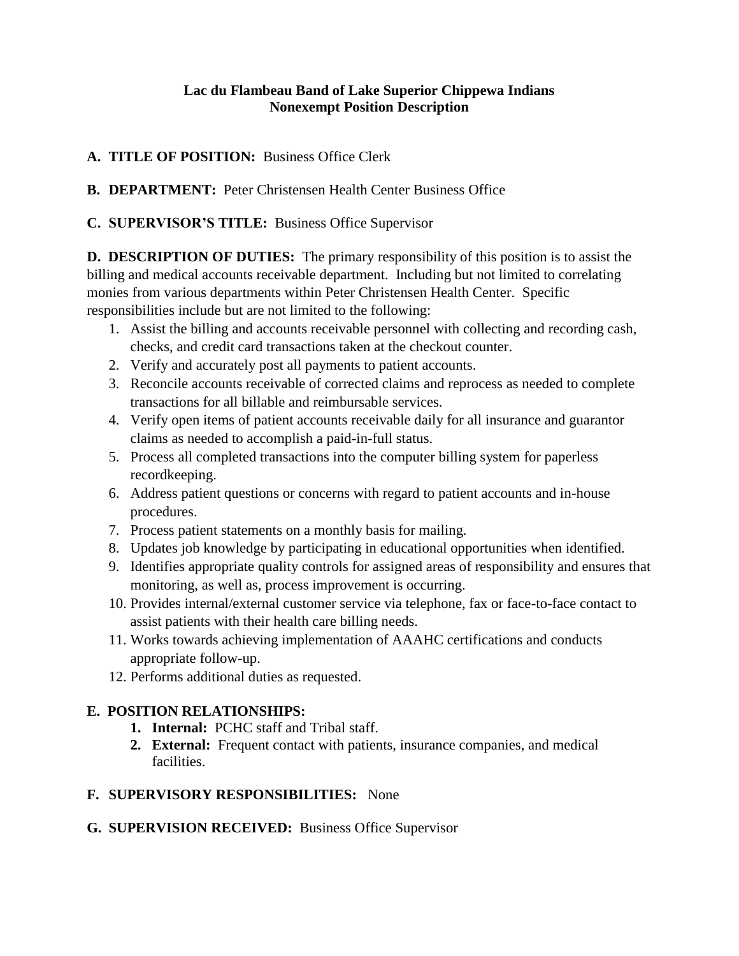#### **Lac du Flambeau Band of Lake Superior Chippewa Indians Nonexempt Position Description**

#### **A. TITLE OF POSITION:** Business Office Clerk

**B. DEPARTMENT:** Peter Christensen Health Center Business Office

#### **C. SUPERVISOR'S TITLE:** Business Office Supervisor

**D. DESCRIPTION OF DUTIES:** The primary responsibility of this position is to assist the billing and medical accounts receivable department. Including but not limited to correlating monies from various departments within Peter Christensen Health Center. Specific responsibilities include but are not limited to the following:

- 1. Assist the billing and accounts receivable personnel with collecting and recording cash, checks, and credit card transactions taken at the checkout counter.
- 2. Verify and accurately post all payments to patient accounts.
- 3. Reconcile accounts receivable of corrected claims and reprocess as needed to complete transactions for all billable and reimbursable services.
- 4. Verify open items of patient accounts receivable daily for all insurance and guarantor claims as needed to accomplish a paid-in-full status.
- 5. Process all completed transactions into the computer billing system for paperless recordkeeping.
- 6. Address patient questions or concerns with regard to patient accounts and in-house procedures.
- 7. Process patient statements on a monthly basis for mailing.
- 8. Updates job knowledge by participating in educational opportunities when identified.
- 9. Identifies appropriate quality controls for assigned areas of responsibility and ensures that monitoring, as well as, process improvement is occurring.
- 10. Provides internal/external customer service via telephone, fax or face-to-face contact to assist patients with their health care billing needs.
- 11. Works towards achieving implementation of AAAHC certifications and conducts appropriate follow-up.
- 12. Performs additional duties as requested.

## **E. POSITION RELATIONSHIPS:**

- **1. Internal:** PCHC staff and Tribal staff.
- **2. External:** Frequent contact with patients, insurance companies, and medical facilities.

## **F. SUPERVISORY RESPONSIBILITIES:** None

**G. SUPERVISION RECEIVED:** Business Office Supervisor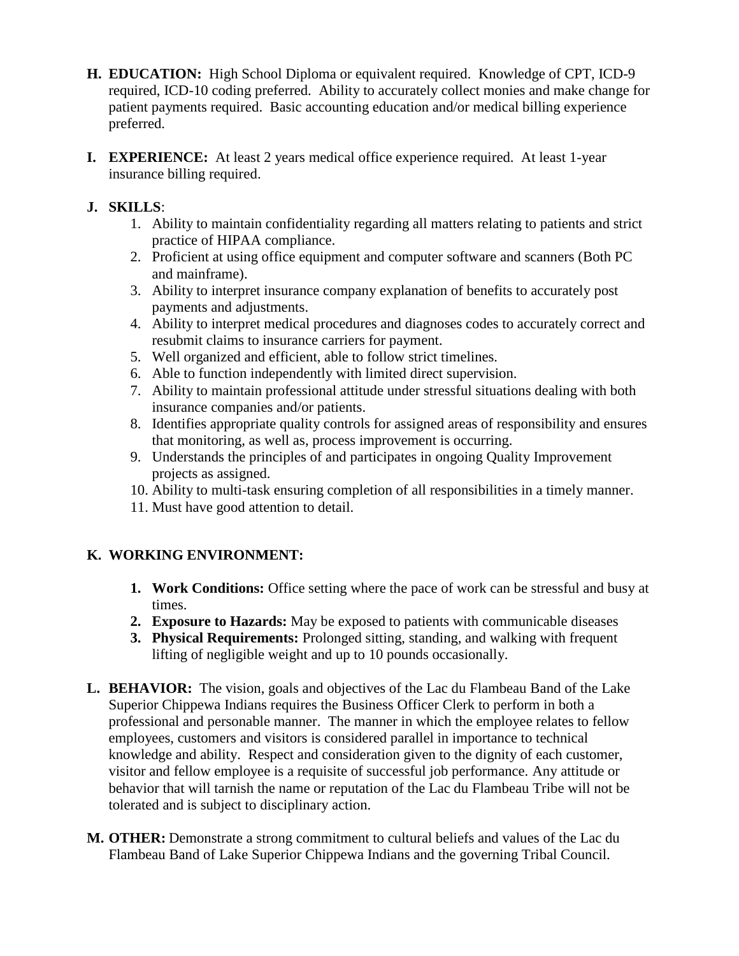- **H. EDUCATION:** High School Diploma or equivalent required. Knowledge of CPT, ICD-9 required, ICD-10 coding preferred. Ability to accurately collect monies and make change for patient payments required. Basic accounting education and/or medical billing experience preferred.
- **I. EXPERIENCE:** At least 2 years medical office experience required. At least 1-year insurance billing required.

#### **J. SKILLS**:

- 1. Ability to maintain confidentiality regarding all matters relating to patients and strict practice of HIPAA compliance.
- 2. Proficient at using office equipment and computer software and scanners (Both PC and mainframe).
- 3. Ability to interpret insurance company explanation of benefits to accurately post payments and adjustments.
- 4. Ability to interpret medical procedures and diagnoses codes to accurately correct and resubmit claims to insurance carriers for payment.
- 5. Well organized and efficient, able to follow strict timelines.
- 6. Able to function independently with limited direct supervision.
- 7. Ability to maintain professional attitude under stressful situations dealing with both insurance companies and/or patients.
- 8. Identifies appropriate quality controls for assigned areas of responsibility and ensures that monitoring, as well as, process improvement is occurring.
- 9. Understands the principles of and participates in ongoing Quality Improvement projects as assigned.
- 10. Ability to multi-task ensuring completion of all responsibilities in a timely manner.
- 11. Must have good attention to detail.

## **K. WORKING ENVIRONMENT:**

- **1. Work Conditions:** Office setting where the pace of work can be stressful and busy at times.
- **2. Exposure to Hazards:** May be exposed to patients with communicable diseases
- **3. Physical Requirements:** Prolonged sitting, standing, and walking with frequent lifting of negligible weight and up to 10 pounds occasionally.
- **L. BEHAVIOR:** The vision, goals and objectives of the Lac du Flambeau Band of the Lake Superior Chippewa Indians requires the Business Officer Clerk to perform in both a professional and personable manner. The manner in which the employee relates to fellow employees, customers and visitors is considered parallel in importance to technical knowledge and ability. Respect and consideration given to the dignity of each customer, visitor and fellow employee is a requisite of successful job performance. Any attitude or behavior that will tarnish the name or reputation of the Lac du Flambeau Tribe will not be tolerated and is subject to disciplinary action.
- **M. OTHER:** Demonstrate a strong commitment to cultural beliefs and values of the Lac du Flambeau Band of Lake Superior Chippewa Indians and the governing Tribal Council.